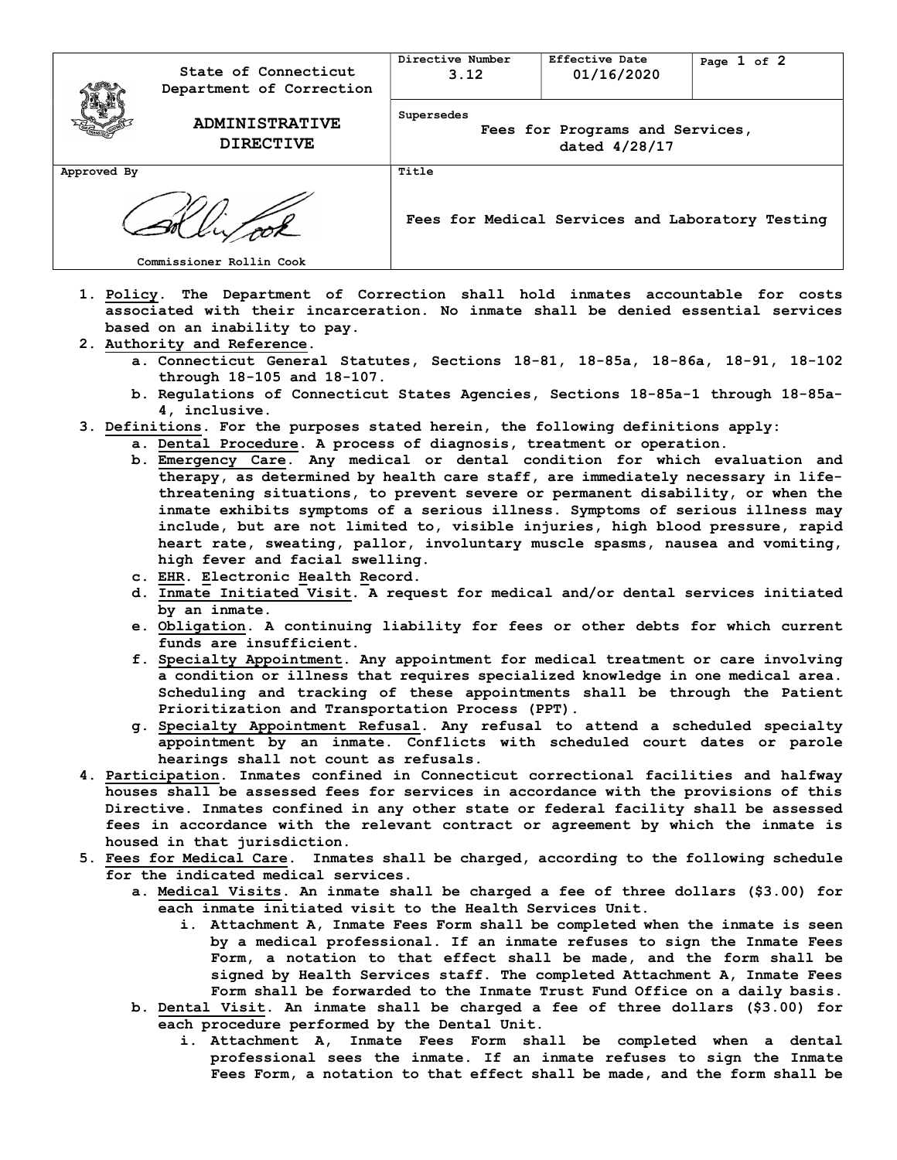|             | State of Connecticut<br>Department of Correction | Directive Number<br>3.12                                       | Effective Date<br>01/16/2020 | Page 1 of 2 |
|-------------|--------------------------------------------------|----------------------------------------------------------------|------------------------------|-------------|
|             | <b>ADMINISTRATIVE</b><br><b>DIRECTIVE</b>        | Supersedes<br>Fees for Programs and Services,<br>dated 4/28/17 |                              |             |
| Approved By |                                                  | Title                                                          |                              |             |
|             |                                                  | Fees for Medical Services and Laboratory Testing               |                              |             |
|             | Commissioner Rollin Cook                         |                                                                |                              |             |

- 1. Policy. The Department of Correction shall hold inmates accountable for costs associated with their incarceration. No inmate shall be denied essential services based on an inability to pay.
- 2. Authority and Reference.
	- a. Connecticut General Statutes, Sections 18-81, 18-85a, 18-86a, 18-91, 18-102 through 18-105 and 18-107.
	- b. Regulations of Connecticut States Agencies, Sections 18-85a-1 through 18-85a-4, inclusive.
- 3. Definitions. For the purposes stated herein, the following definitions apply:
	- a. Dental Procedure. A process of diagnosis, treatment or operation.
		- b. Emergency Care. Any medical or dental condition for which evaluation and therapy, as determined by health care staff, are immediately necessary in lifethreatening situations, to prevent severe or permanent disability, or when the inmate exhibits symptoms of a serious illness. Symptoms of serious illness may include, but are not limited to, visible injuries, high blood pressure, rapid heart rate, sweating, pallor, involuntary muscle spasms, nausea and vomiting, high fever and facial swelling.
		- c. EHR. Electronic Health Record.
		- d. Inmate Initiated Visit. A request for medical and/or dental services initiated by an inmate.
		- e. Obligation. A continuing liability for fees or other debts for which current funds are insufficient.
		- f. Specialty Appointment. Any appointment for medical treatment or care involving a condition or illness that requires specialized knowledge in one medical area. Scheduling and tracking of these appointments shall be through the Patient Prioritization and Transportation Process (PPT).
		- g. Specialty Appointment Refusal. Any refusal to attend a scheduled specialty appointment by an inmate. Conflicts with scheduled court dates or parole hearings shall not count as refusals.
- 4. Participation. Inmates confined in Connecticut correctional facilities and halfway houses shall be assessed fees for services in accordance with the provisions of this Directive. Inmates confined in any other state or federal facility shall be assessed fees in accordance with the relevant contract or agreement by which the inmate is housed in that jurisdiction.
- 5. Fees for Medical Care. Inmates shall be charged, according to the following schedule for the indicated medical services.
	- a. Medical Visits. An inmate shall be charged a fee of three dollars (\$3.00) for each inmate initiated visit to the Health Services Unit.
		- i. Attachment A, Inmate Fees Form shall be completed when the inmate is seen by a medical professional. If an inmate refuses to sign the Inmate Fees Form, a notation to that effect shall be made, and the form shall be signed by Health Services staff. The completed Attachment A, Inmate Fees Form shall be forwarded to the Inmate Trust Fund Office on a daily basis.
	- b. Dental Visit. An inmate shall be charged a fee of three dollars (\$3.00) for each procedure performed by the Dental Unit.
		- i. Attachment A, Inmate Fees Form shall be completed when a dental professional sees the inmate. If an inmate refuses to sign the Inmate Fees Form, a notation to that effect shall be made, and the form shall be